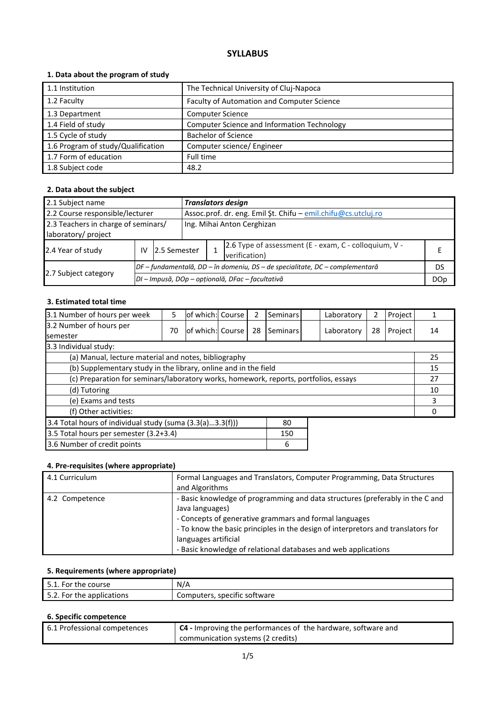## **SYLLABUS**

## **1. Data about the program of study**

| 1.1 Institution                    | The Technical University of Cluj-Napoca            |
|------------------------------------|----------------------------------------------------|
| 1.2 Faculty                        | Faculty of Automation and Computer Science         |
| 1.3 Department                     | <b>Computer Science</b>                            |
| 1.4 Field of study                 | <b>Computer Science and Information Technology</b> |
| 1.5 Cycle of study                 | <b>Bachelor of Science</b>                         |
| 1.6 Program of study/Qualification | Computer science/ Engineer                         |
| 1.7 Form of education              | Full time                                          |
| 1.8 Subject code                   | 48.2                                               |

## **2. Data about the subject**

| 2.1 Subject name<br><b>Translators design</b>                                                    |    |               |  |                                                                        |                                                                              |            |
|--------------------------------------------------------------------------------------------------|----|---------------|--|------------------------------------------------------------------------|------------------------------------------------------------------------------|------------|
| Assoc.prof. dr. eng. Emil Şt. Chifu - emil.chifu@cs.utcluj.ro<br>2.2 Course responsible/lecturer |    |               |  |                                                                        |                                                                              |            |
| 2.3 Teachers in charge of seminars/<br>Ing. Mihai Anton Cerghizan<br>laboratory/ project         |    |               |  |                                                                        |                                                                              |            |
| 2.4 Year of study                                                                                | IV | 12.5 Semester |  | 2.6 Type of assessment (E - exam, C - colloquium, V -<br>verification) |                                                                              |            |
|                                                                                                  |    |               |  |                                                                        | DF – fundamentală, DD – în domeniu, DS – de specialitate, DC – complementară | DS         |
| 2.7 Subject category                                                                             |    |               |  |                                                                        | DI – Impusă, DOp – opțională, DFac – facultativă                             | <b>DOp</b> |

### **3. Estimated total time**

| 3.1 Number of hours per week                                                         | 5  | of which: Course |  | 2  | Seminars |    | Laboratory | 2  | Project |    |
|--------------------------------------------------------------------------------------|----|------------------|--|----|----------|----|------------|----|---------|----|
| 3.2 Number of hours per<br><b>semester</b>                                           | 70 | of which: Course |  | 28 | Seminars |    | Laboratory | 28 | Project | 14 |
| 3.3 Individual study:                                                                |    |                  |  |    |          |    |            |    |         |    |
| (a) Manual, lecture material and notes, bibliography                                 |    |                  |  |    |          |    |            |    |         | 25 |
| (b) Supplementary study in the library, online and in the field                      |    |                  |  |    |          |    | 15         |    |         |    |
| (c) Preparation for seminars/laboratory works, homework, reports, portfolios, essays |    |                  |  |    |          | 27 |            |    |         |    |
| (d) Tutoring                                                                         |    |                  |  |    |          | 10 |            |    |         |    |
| (e) Exams and tests                                                                  |    |                  |  |    |          |    | 3          |    |         |    |
| (f) Other activities:                                                                |    |                  |  |    |          |    | 0          |    |         |    |
| 3.4 Total hours of individual study (suma (3.3(a)3.3(f)))<br>80                      |    |                  |  |    |          |    |            |    |         |    |
| 3.5 Total hours per semester (3.2+3.4)<br>150                                        |    |                  |  |    |          |    |            |    |         |    |
| 3.6 Number of credit points<br>6                                                     |    |                  |  |    |          |    |            |    |         |    |

## **4. Pre-requisites (where appropriate)**

| 4.1 Curriculum | Formal Languages and Translators, Computer Programming, Data Structures<br>and Algorithms                                                                                                                                                                                                                                                |
|----------------|------------------------------------------------------------------------------------------------------------------------------------------------------------------------------------------------------------------------------------------------------------------------------------------------------------------------------------------|
| 4.2 Competence | - Basic knowledge of programming and data structures (preferably in the C and<br>Java languages)<br>- Concepts of generative grammars and formal languages<br>- To know the basic principles in the design of interpretors and translators for<br>languages artificial<br>- Basic knowledge of relational databases and web applications |

# **5. Requirements (where appropriate)**

| 5.1.1<br>For the course   | N/A                          |
|---------------------------|------------------------------|
| 5.2. For the applications | Computers, specific software |

## **6. Specific competence**

| 6.1 Professional competences | C4 - Improving the performances of the hardware, software and |
|------------------------------|---------------------------------------------------------------|
|                              | communication systems (2 credits)                             |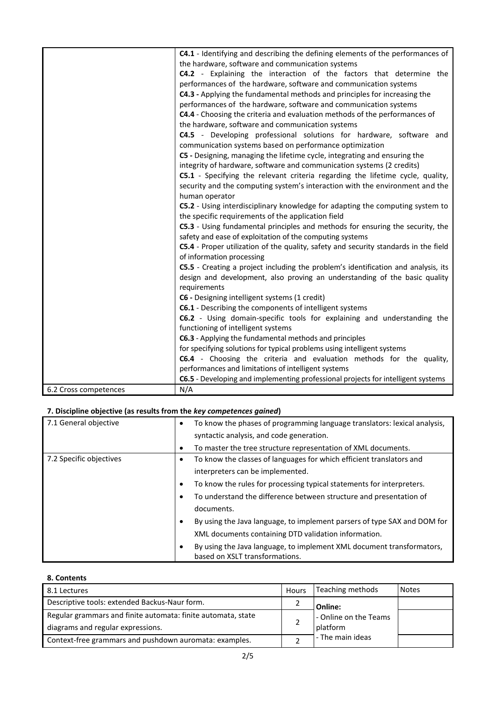|                       | C4.1 - Identifying and describing the defining elements of the performances of       |
|-----------------------|--------------------------------------------------------------------------------------|
|                       | the hardware, software and communication systems                                     |
|                       | C4.2 - Explaining the interaction of the factors that determine the                  |
|                       | performances of the hardware, software and communication systems                     |
|                       | C4.3 - Applying the fundamental methods and principles for increasing the            |
|                       | performances of the hardware, software and communication systems                     |
|                       | C4.4 - Choosing the criteria and evaluation methods of the performances of           |
|                       | the hardware, software and communication systems                                     |
|                       | C4.5 - Developing professional solutions for hardware, software and                  |
|                       | communication systems based on performance optimization                              |
|                       | C5 - Designing, managing the lifetime cycle, integrating and ensuring the            |
|                       | integrity of hardware, software and communication systems (2 credits)                |
|                       | C5.1 - Specifying the relevant criteria regarding the lifetime cycle, quality,       |
|                       | security and the computing system's interaction with the environment and the         |
|                       | human operator                                                                       |
|                       | C5.2 - Using interdisciplinary knowledge for adapting the computing system to        |
|                       | the specific requirements of the application field                                   |
|                       | C5.3 - Using fundamental principles and methods for ensuring the security, the       |
|                       | safety and ease of exploitation of the computing systems                             |
|                       | C5.4 - Proper utilization of the quality, safety and security standards in the field |
|                       | of information processing                                                            |
|                       | C5.5 - Creating a project including the problem's identification and analysis, its   |
|                       | design and development, also proving an understanding of the basic quality           |
|                       | requirements                                                                         |
|                       | C6 - Designing intelligent systems (1 credit)                                        |
|                       | C6.1 - Describing the components of intelligent systems                              |
|                       | C6.2 - Using domain-specific tools for explaining and understanding the              |
|                       | functioning of intelligent systems                                                   |
|                       | C6.3 - Applying the fundamental methods and principles                               |
|                       | for specifying solutions for typical problems using intelligent systems              |
|                       | C6.4 - Choosing the criteria and evaluation methods for the quality,                 |
|                       | performances and limitations of intelligent systems                                  |
|                       | C6.5 - Developing and implementing professional projects for intelligent systems     |
| 6.2 Cross competences | N/A                                                                                  |

# **7. Discipline objective (as results from the** *key competences gained***)**

| 7.1 General objective   | To know the phases of programming language translators: lexical analysis,<br>٠<br>syntactic analysis, and code generation. |
|-------------------------|----------------------------------------------------------------------------------------------------------------------------|
|                         | To master the tree structure representation of XML documents.<br>$\bullet$                                                 |
| 7.2 Specific objectives | To know the classes of languages for which efficient translators and<br>$\bullet$                                          |
|                         | interpreters can be implemented.                                                                                           |
|                         | To know the rules for processing typical statements for interpreters.<br>٠                                                 |
|                         | To understand the difference between structure and presentation of                                                         |
|                         | documents.                                                                                                                 |
|                         | By using the Java language, to implement parsers of type SAX and DOM for<br>٠                                              |
|                         | XML documents containing DTD validation information.                                                                       |
|                         | By using the Java language, to implement XML document transformators,<br>٠<br>based on XSLT transformations.               |

### **8. Contents**

| 8.1 Lectures                                                 | <b>Hours</b> | Teaching methods      | <b>Notes</b> |
|--------------------------------------------------------------|--------------|-----------------------|--------------|
| Descriptive tools: extended Backus-Naur form.                |              | Online:               |              |
| Regular grammars and finite automata: finite automata, state |              | - Online on the Teams |              |
| diagrams and regular expressions.                            |              | platform              |              |
| Context-free grammars and pushdown auromata: examples.       |              | - The main ideas      |              |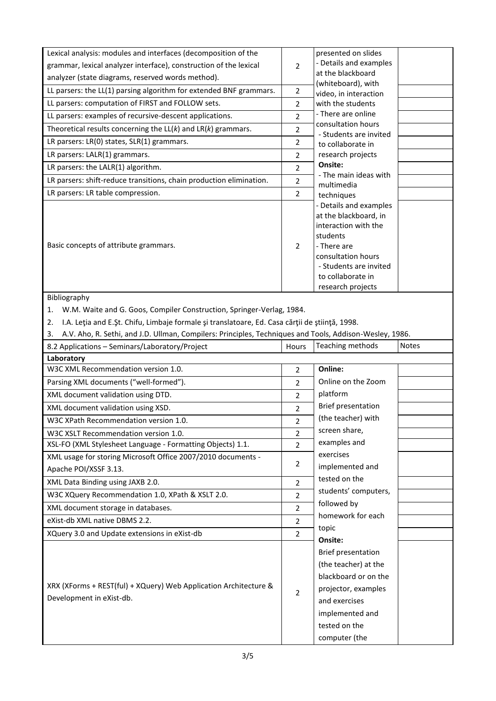| Lexical analysis: modules and interfaces (decomposition of the                                                |                     | presented on slides                          |              |
|---------------------------------------------------------------------------------------------------------------|---------------------|----------------------------------------------|--------------|
| grammar, lexical analyzer interface), construction of the lexical                                             |                     | - Details and examples                       |              |
| analyzer (state diagrams, reserved words method).                                                             | 2                   | at the blackboard                            |              |
|                                                                                                               |                     | (whiteboard), with                           |              |
| LL parsers: the LL(1) parsing algorithm for extended BNF grammars.                                            | 2                   | video, in interaction                        |              |
| LL parsers: computation of FIRST and FOLLOW sets.                                                             | $\overline{2}$      | with the students<br>- There are online      |              |
| LL parsers: examples of recursive-descent applications.                                                       | $\overline{2}$      | consultation hours                           |              |
| Theoretical results concerning the $LL(k)$ and $LR(k)$ grammars.                                              | $\overline{2}$      | - Students are invited                       |              |
| LR parsers: LR(0) states, SLR(1) grammars.                                                                    | $\overline{2}$      | to collaborate in                            |              |
| LR parsers: LALR(1) grammars.                                                                                 | $\overline{2}$      | research projects                            |              |
| LR parsers: the LALR(1) algorithm.                                                                            | $\overline{2}$      | Onsite:                                      |              |
| LR parsers: shift-reduce transitions, chain production elimination.                                           | $\overline{2}$      | - The main ideas with<br>multimedia          |              |
| LR parsers: LR table compression.                                                                             | $\overline{2}$      | techniques                                   |              |
|                                                                                                               |                     | - Details and examples                       |              |
|                                                                                                               |                     | at the blackboard, in                        |              |
|                                                                                                               |                     | interaction with the                         |              |
|                                                                                                               |                     | students                                     |              |
| Basic concepts of attribute grammars.                                                                         | 2                   | - There are<br>consultation hours            |              |
|                                                                                                               |                     | - Students are invited                       |              |
|                                                                                                               |                     | to collaborate in                            |              |
|                                                                                                               |                     | research projects                            |              |
| Bibliography                                                                                                  |                     |                                              |              |
| W.M. Waite and G. Goos, Compiler Construction, Springer-Verlag, 1984.<br>1.                                   |                     |                                              |              |
| I.A. Leția and E.Șt. Chifu, Limbaje formale și translatoare, Ed. Casa cărții de știință, 1998.<br>2.          |                     |                                              |              |
| A.V. Aho, R. Sethi, and J.D. Ullman, Compilers: Principles, Techniques and Tools, Addison-Wesley, 1986.<br>3. |                     |                                              |              |
| 8.2 Applications - Seminars/Laboratory/Project                                                                |                     |                                              |              |
|                                                                                                               | Hours               | Teaching methods                             | <b>Notes</b> |
| Laboratory                                                                                                    |                     |                                              |              |
| W3C XML Recommendation version 1.0.                                                                           | $\overline{2}$      | Online:                                      |              |
| Parsing XML documents ("well-formed").                                                                        | $\overline{2}$      | Online on the Zoom                           |              |
| XML document validation using DTD.                                                                            | $\overline{2}$      | platform                                     |              |
| XML document validation using XSD.                                                                            | $\overline{2}$      | Brief presentation                           |              |
| W3C XPath Recommendation version 1.0.                                                                         |                     | (the teacher) with                           |              |
| W3C XSLT Recommendation version 1.0.                                                                          | 2<br>$\overline{2}$ | screen share,                                |              |
| XSL-FO (XML Stylesheet Language - Formatting Objects) 1.1.                                                    | $\overline{2}$      | examples and                                 |              |
|                                                                                                               |                     | exercises                                    |              |
| XML usage for storing Microsoft Office 2007/2010 documents -<br>Apache POI/XSSF 3.13.                         | 2                   | implemented and                              |              |
|                                                                                                               |                     | tested on the                                |              |
| XML Data Binding using JAXB 2.0.                                                                              | $\overline{2}$      | students' computers,                         |              |
| W3C XQuery Recommendation 1.0, XPath & XSLT 2.0.                                                              | $\overline{2}$      | followed by                                  |              |
| XML document storage in databases.                                                                            | $\overline{2}$      | homework for each                            |              |
| eXist-db XML native DBMS 2.2.                                                                                 | $\overline{2}$      | topic                                        |              |
| XQuery 3.0 and Update extensions in eXist-db                                                                  | $\overline{2}$      | Onsite:                                      |              |
|                                                                                                               |                     | <b>Brief presentation</b>                    |              |
|                                                                                                               |                     |                                              |              |
|                                                                                                               |                     | (the teacher) at the<br>blackboard or on the |              |
| XRX (XForms + REST(ful) + XQuery) Web Application Architecture &                                              |                     |                                              |              |
| Development in eXist-db.                                                                                      | $\overline{2}$      | projector, examples                          |              |
|                                                                                                               |                     | and exercises                                |              |
|                                                                                                               |                     | implemented and                              |              |
|                                                                                                               |                     | tested on the<br>computer (the               |              |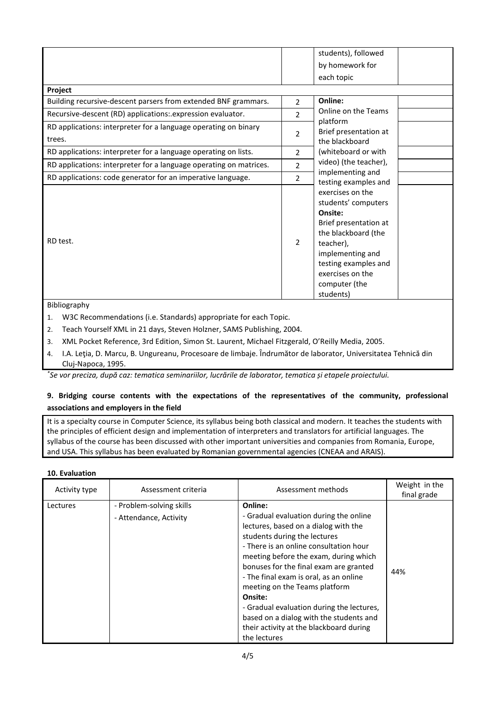|                                                                    |                | students), followed<br>by homework for   |
|--------------------------------------------------------------------|----------------|------------------------------------------|
|                                                                    |                | each topic                               |
| Project                                                            |                |                                          |
| Building recursive-descent parsers from extended BNF grammars.     | $\overline{2}$ | Online:                                  |
| Recursive-descent (RD) applications: expression evaluator.         | $\overline{2}$ | Online on the Teams                      |
| RD applications: interpreter for a language operating on binary    | 2              | platform<br>Brief presentation at        |
| trees.                                                             |                | the blackboard                           |
| RD applications: interpreter for a language operating on lists.    | 2              | (whiteboard or with                      |
| RD applications: interpreter for a language operating on matrices. | $\overline{2}$ | video) (the teacher),                    |
| RD applications: code generator for an imperative language.        | $\overline{2}$ | implementing and<br>testing examples and |
|                                                                    |                | exercises on the<br>students' computers  |
|                                                                    |                | Onsite:                                  |
|                                                                    |                | Brief presentation at                    |
|                                                                    |                | the blackboard (the                      |
| RD test.                                                           | 2              | teacher),                                |
|                                                                    |                | implementing and                         |
|                                                                    |                | testing examples and                     |
|                                                                    |                | exercises on the                         |
|                                                                    |                | computer (the                            |
|                                                                    |                | students)                                |

### Bibliography

- 1. W3C Recommendations (i.e. Standards) appropriate for each Topic.
- 2. Teach Yourself XML in 21 days, Steven Holzner, SAMS Publishing, 2004.
- 3. XML Pocket Reference, 3rd Edition, Simon St. Laurent, Michael Fitzgerald, O'Reilly Media, 2005.
- 4. I.A. Leţia, D. Marcu, B. Ungureanu, Procesoare de limbaje. Îndrumător de laborator, Universitatea Tehnică din Cluj-Napoca, 1995.

*\* Se vor preciza, după caz: tematica seminariilor, lucrările de laborator, tematica și etapele proiectului.*

## **9. Bridging course contents with the expectations of the representatives of the community, professional associations and employers in the field**

It is a specialty course in Computer Science, its syllabus being both classical and modern. It teaches the students with the principles of efficient design and implementation of interpreters and translators for artificial languages. The syllabus of the course has been discussed with other important universities and companies from Romania, Europe, and USA. This syllabus has been evaluated by Romanian governmental agencies (CNEAA and ARAIS).

#### **10. Evaluation**

| Activity type | Assessment criteria                                | Assessment methods                                                                                                                                                                                                                                                                                                                                                                                                                                                                              | Weight in the<br>final grade |
|---------------|----------------------------------------------------|-------------------------------------------------------------------------------------------------------------------------------------------------------------------------------------------------------------------------------------------------------------------------------------------------------------------------------------------------------------------------------------------------------------------------------------------------------------------------------------------------|------------------------------|
| Lectures      | - Problem-solving skills<br>- Attendance, Activity | Online:<br>- Gradual evaluation during the online<br>lectures, based on a dialog with the<br>students during the lectures<br>- There is an online consultation hour<br>meeting before the exam, during which<br>bonuses for the final exam are granted<br>- The final exam is oral, as an online<br>meeting on the Teams platform<br>Onsite:<br>- Gradual evaluation during the lectures,<br>based on a dialog with the students and<br>their activity at the blackboard during<br>the lectures | 44%                          |